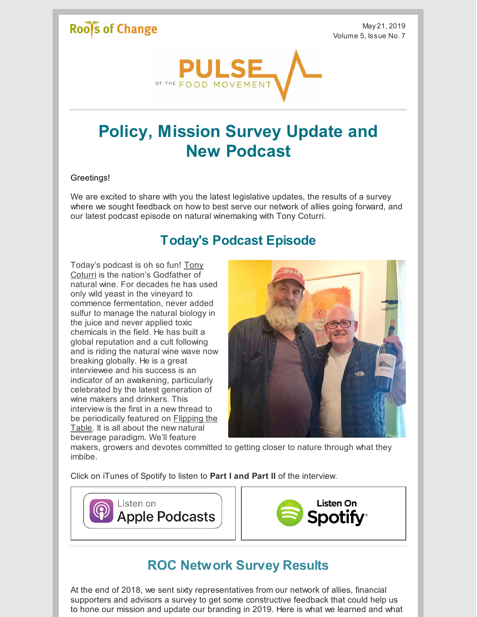# Roof's of Change

May 21, 2019 Volume 5, Issue No. 7



# **Policy, Mission Survey Update and New Podcast**

#### Greetings!

We are excited to share with you the latest legislative updates, the results of a survey where we sought feedback on how to best serve our network of allies going forward, and our latest podcast episode on natural winemaking with Tony Coturri.

## **Today's Podcast Episode**

Today's podcast is oh so fun! Tony Coturri is the nation's [Godfather](https://www.coturriwinery.com/home.html) of natural wine. For decades he has used only wild yeast in the vineyard to commence fermentation, never added sulfur to manage the natural biology in the juice and never applied toxic chemicals in the field. He has built a global reputation and a cult following and is riding the natural wine wave now breaking globally. He is a great interviewee and his success is an indicator of an awakening, particularly celebrated by the latest generation of wine makers and drinkers. This interview is the first in a new thread to be [periodically](https://podcasts.apple.com/us/podcast/flipping-table-honest-conversations-about-food-farming/id1449331366?mt=2) featured on Flipping the Table. It is all about the new natural beverage paradigm. We'll feature



makers, growers and devotes committed to getting closer to nature through what they imbibe.

Click on iTunes of Spotify to listen to **Part I and Part II** of the interview.





## **ROC Network Survey Results**

At the end of 2018, we sent sixty representatives from our network of allies, financial supporters and advisors a survey to get some constructive feedback that could help us to hone our mission and update our branding in 2019. Here is what we learned and what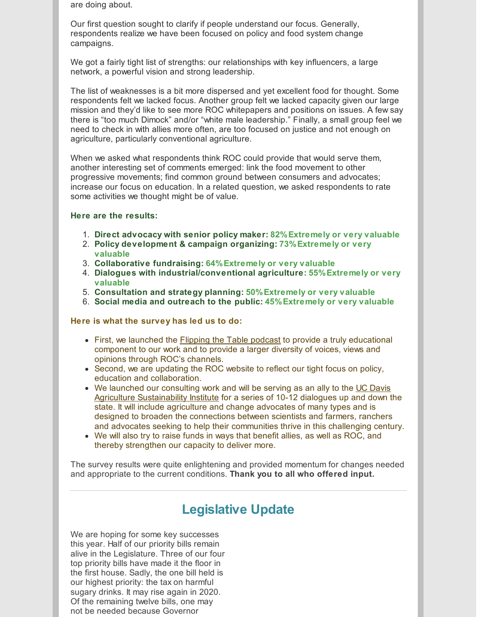are doing about.

Our first question sought to clarify if people understand our focus. Generally, respondents realize we have been focused on policy and food system change campaigns.

We got a fairly tight list of strengths: our relationships with key influencers, a large network, a powerful vision and strong leadership.

The list of weaknesses is a bit more dispersed and yet excellent food for thought. Some respondents felt we lacked focus. Another group felt we lacked capacity given our large mission and they'd like to see more ROC whitepapers and positions on issues. A few say there is "too much Dimock" and/or "white male leadership." Finally, a small group feel we need to check in with allies more often, are too focused on justice and not enough on agriculture, particularly conventional agriculture.

When we asked what respondents think ROC could provide that would serve them, another interesting set of comments emerged: link the food movement to other progressive movements; find common ground between consumers and advocates; increase our focus on education. In a related question, we asked respondents to rate some activities we thought might be of value.

#### **Here are the results:**

- 1. **Direct advocacy with senior policy maker: 82%Extremely or very valuable**
- 2. **Policy development & campaign organizing: 73%Extremely or very valuable**
- 3. **Collaborative fundraising: 64%Extremely or very valuable**
- 4. **Dialogues with industrial/conventional agriculture: 55%Extremely or very valuable**
- 5. **Consultation and strategy planning: 50%Extremely or very valuable**
- 6. **Social media and outreach to the public: 45%Extremely or very valuable**

#### **Here is what the survey has led us to do:**

- First, we launched the *[Flipping](https://podcasts.apple.com/us/podcast/flipping-table-honest-conversations-about-food-farming/id1449331366?mt=2) the Table podcast* to provide a truly educational component to our work and to provide a larger diversity of voices, views and opinions through ROC's channels.
- Second, we are updating the ROC website to reflect our tight focus on policy, education and collaboration.
- We launched our consulting work and will be serving as an ally to the UC Davis Agriculture [Sustainability](https://asi.ucdavis.edu/) Institute for a series of 10-12 dialogues up and down the state. It will include agriculture and change advocates of many types and is designed to broaden the connections between scientists and farmers, ranchers and advocates seeking to help their communities thrive in this challenging century.
- We will also try to raise funds in ways that benefit allies, as well as ROC, and thereby strengthen our capacity to deliver more.

The survey results were quite enlightening and provided momentum for changes needed and appropriate to the current conditions. **Thank you to all who offered input.**

## **Legislative Update**

We are hoping for some key successes this year. Half of our priority bills remain alive in the Legislature. Three of our four top priority bills have made it the floor in the first house. Sadly, the one bill held is our highest priority: the tax on harmful sugary drinks. It may rise again in 2020. Of the remaining twelve bills, one may not be needed because Governor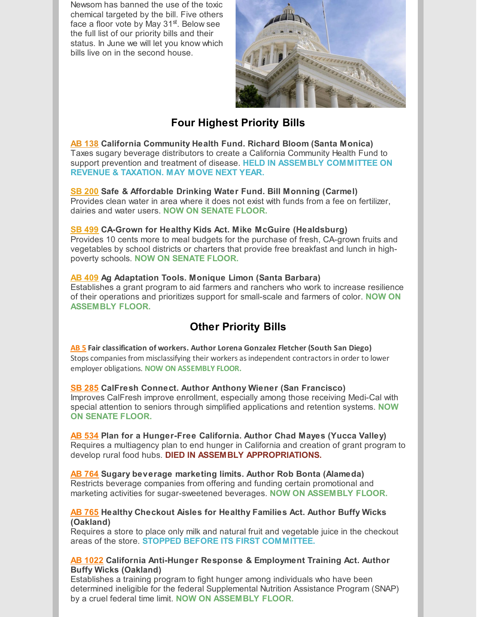Newsom has banned the use of the toxic chemical targeted by the bill. Five others face a floor vote by May 31<sup>st</sup>. Below see the full list of our priority bills and their status. In June we will let you know which bills live on in the second house.



### **Four Highest Priority Bills**

**AB [138](https://leginfo.legislature.ca.gov/faces/billNavClient.xhtml?bill_id=201920200AB138) California Community Health Fund. Richard Bloom (Santa Monica)** Taxes sugary beverage distributors to create a California Community Health Fund to support prevention and treatment of disease. **HELD IN ASSEMBLY COMMITTEE ON REVENUE & TAXATION. MAY MOVE NEXT YEAR.**

#### **SB [200](https://leginfo.legislature.ca.gov/faces/billTextClient.xhtml?bill_id=201920200SB200) Safe & Affordable Drinking Water Fund. Bill Monning (Carmel)** Provides clean water in area where it does not exist with funds from a fee on fertilizer, dairies and water users. **NOW ON SENATE FLOOR.**

#### **SB [499](https://leginfo.legislature.ca.gov/faces/billNavClient.xhtml?bill_id=201920200SB499) CA-Grown for Healthy Kids Act. Mike McGuire (Healdsburg)**

Provides 10 cents more to meal budgets for the purchase of fresh, CA-grown fruits and vegetables by school districts or charters that provide free breakfast and lunch in highpoverty schools. **NOW ON SENATE FLOOR.**

#### **AB [409](https://leginfo.legislature.ca.gov/faces/billNavClient.xhtml?bill_id=201920200AB409) Ag Adaptation Tools. Monique Limon (Santa Barbara)**

Establishes a grant program to aid farmers and ranchers who work to increase resilience of their operations and prioritizes support for small-scale and farmers of color. **NOW ON ASSEMBLY FLOOR.**

### **Other Priority Bills**

**[AB](https://leginfo.legislature.ca.gov/faces/billTextClient.xhtml?bill_id=201920200AB5) 5 Fair classification of workers. Author Lorena Gonzalez Fletcher (South San Diego)** Stops companies from misclassifying their workers as independent contractors in order to lower employer obligations. **NOW ON ASSEMBLY FLOOR.**

#### **SB [285](https://leginfo.legislature.ca.gov/faces/billNavClient.xhtml?bill_id=201920200SB285) CalFresh Connect. Author Anthony Wiener (San Francisco)**

Improves CalFresh improve enrollment, especially among those receiving Medi-Cal with special attention to seniors through simplified applications and retention systems. **NOW ON SENATE FLOOR.**

**AB [534](https://leginfo.legislature.ca.gov/faces/billNavClient.xhtml?bill_id=201920200AB534) Plan for a Hunger-Free California. Author Chad Mayes (Yucca Valley)** Requires a multiagency plan to end hunger in California and creation of grant program to develop rural food hubs. **DIED IN ASSEMBLY APPROPRIATIONS.**

**AB [764](https://leginfo.legislature.ca.gov/faces/billNavClient.xhtml?bill_id=201920200AB764) Sugary beverage marketing limits. Author Rob Bonta (Alameda)** Restricts beverage companies from offering and funding certain promotional and marketing activities for sugar-sweetened beverages. **NOW ON ASSEMBLY FLOOR.**

#### **AB [765](https://leginfo.legislature.ca.gov/faces/billNavClient.xhtml?bill_id=201920200AB765) Healthy Checkout Aisles for Healthy Families Act. Author Buffy Wicks (Oakland)**

Requires a store to place only milk and natural fruit and vegetable juice in the checkout areas of the store. **STOPPED BEFORE ITS FIRST COMMITTEE.**

#### **AB [1022](https://leginfo.legislature.ca.gov/faces/billNavClient.xhtml?bill_id=201920200AB1022) California Anti-Hunger Response & Employment Training Act. Author Buffy Wicks (Oakland)**

Establishes a training program to fight hunger among individuals who have been determined ineligible for the federal Supplemental Nutrition Assistance Program (SNAP) by a cruel federal time limit. **NOW ON ASSEMBLY FLOOR.**